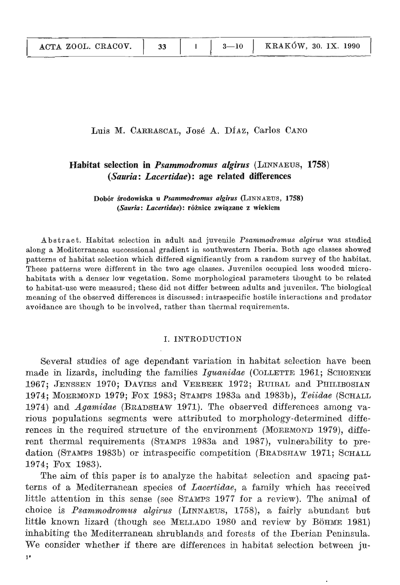33

 $\sim$  to habitation and  $\sim$  differences. The biological set of different between adults and juveniles. The biological set of different between adults and juveniles. The biological set of different between adults and juven meascal, José A. Diaz, Carlos Cano

## Habitat selection in *Psammodromus algirus* (LINNAEUS, 1758) (Sauria: Lacertidae): age related differences

Dobór środowiska u Psanimodromus algirus (LINNAEUS, 1758) (Sauria: Lacertidae): różnice związane z wiekiem

Abstract. Habitat selection in adult and juvenile *Psammodromus algirus* was studied along a Mediterranean successional gradient in southwestern Iberia. Both age classes showed patterns of habitat selection which differed significantly from a random survey of the habitat. These patterns were different in the two age classes. Juveniles occupied less wooded microhabitats with a denser low vegetation. Some morphological parameters thought to be related to habitat-use were measured; these did not differ between adults and juveniles. The biological meaning of the observed differences is discussed; intraspecific hostile interactions and predator avoidance are though to be involved, rather than thermal requirements.

#### **L. INTRODUCTION** choice is *Psammodromu8 aZgiru8* (LINNAEUS, 1758), 9, fairly abundant but

Several studies of age dependant variation in habitat selection have been made in lizards, including the families  $Iquanidae$  (COLLETTE 1961; SCHOENER 1967; JENSSEN 1970; DAVIES and VERBEEK 1972; RUIBAL and PHILIBOSIAN 1974; MOERMOND 1979; FOX 1983; STAMPS 1983a and 1983b), Teidae (SCHALL 1974) and *Agamidae* (BRADSHAW 1971). The observed differences among various populations segments were attributed to morphology-determined differences in the required structure of the environment (MOERMOND 1979), different thermal requirements (STAMPS 1983a and 1987), vulnerability to predation (STAMPS 1983b) or intraspecific competition (BRADSHAW 1971; SCHALL 1974; Fox 1983).

The aim of this paper is to analyze the habitat selection and spacing patterns of a Mediterranean species of *Lacertidae*, a family which has received little attention in this sense (see STAMPS 1977 for a review). The animal of choice is Psammodromus algirus (LINNAEUS, 1758), a fairly abundant but little known lizard (though see MELLADO 1980 and review by BöHME 1981) inhabiting the Mediterranean shrublands and forests of the Iberian Peninsula. We consider whether if there are differences in habitat selection between ju- $1<sup>2</sup>$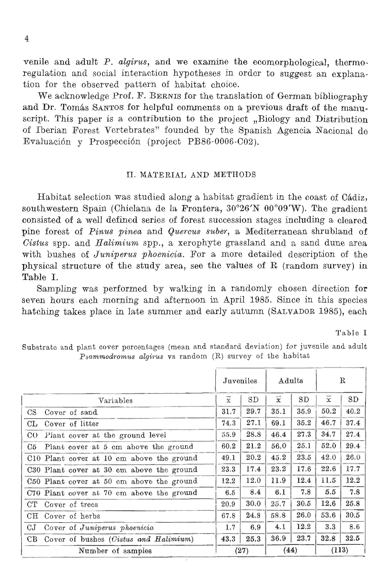consisted of a well defined series of forest succession stages including a cleared and we examine the ecomorphological, thermoregulation and social interaction hypotheses in order to suggest an explanation for the observed pattern of habitat choice. of habitat choice.<br> **For a more detailed detailed description of the series of the series of the series** 

 $\tt{ERNIS}$  for the translation of German bibliography and Dr. Tomás SANTOS for helpful comments on a previous draft of the manuscript. This paper is a contribution to the project  $. Biology$  and Distribution of Iberian Forest Vertebrates" founded by the Spanish Agencia Nacional de Evaluación y Prospección (project PB86-0006-C02).

# Substrate and plant cover percentages (mean and standard deviation) for juvenile and adult

Habitat selection was studied along a habitat gradient in the coast of Cádiz, au1z,<br>lient<br>ared 1 Ouercus suber, a Mediterranean shrubland of The Universe of American Subset of American Subset of America. For a more detailed description of the area, see the values of R (random survey) in<br>
The area, see the values of R (random survey) in<br>
The valking in a randoml Table I.

|                                           | Juveniles      |      |           | Adults |                | $\mathbf R$ |  |
|-------------------------------------------|----------------|------|-----------|--------|----------------|-------------|--|
| Variables                                 | $\overline{x}$ | SD   | $\bar{x}$ | SD     | $\overline{x}$ | SD          |  |
| CS Cover of sand                          | 31.7           | 29.7 | 35.1      | 35.9   | 50.2           | 40.2        |  |
| CL Cover of litter                        | 74.3           | 27.1 | 69.1      | 35.2   | 46.7           | 37.4        |  |
| CO Plant cover at the ground level        | 55.9           | 28.8 | 46.4      | 27.3   | 34.7           | 27.4        |  |
| C5 Plant cover at 5 cm above the ground   | 60.2           | 21.2 | 56.0      | 25.1   | 52.0           | 29.4        |  |
| C10 Plant cover at 10 cm above the ground | 49.1           | 20.2 | 45.2      | 23.5   | 42.0           | 26.0        |  |
| C30 Plant cover at 30 cm above the ground | 23.3           | 17.4 | 23.2      | 17.6   | 22.6           | 17.7        |  |
| C50 Plant cover at 50 cm above the ground | 12.2           | 12.0 | 11.9      | 12.4   | 11.5           | 12.2        |  |
| C70 Plant cover at 70 cm above the ground | 6.5            | 8.4  | 6.1       | 7.8    | 5.5            | 7.8         |  |
| CT Cover of trees                         | 20.9           | 30.0 | 25.7      | 30.5   | 12.6           | 25.8        |  |
| CH Cover of herbs                         | 67.8           | 24.8 | 58.8      | 26.0   | 53.6           | 30.5        |  |
| CJ Cover of Juniperus phoenicia           | 1.7            | 6.9  | 4.1       | 12.2   | 3.3            | 8.6         |  |
| CB Cover of bushes (Cistus and Halimium)  | 43.3           | 25.3 | 36.9      | 23.7   | 32.8           | 32.5        |  |
| Number of samples                         |                | (27) |           | (44)   |                | (113)       |  |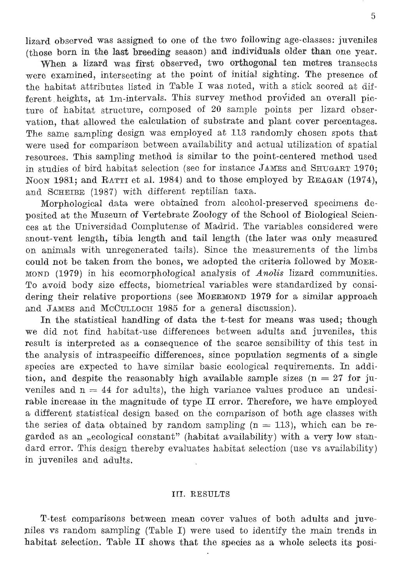lizard observed was assigned to one of the two following age-classes: juveniles (those born in the last breeding season) and individuals older than one vear.

When a lizard was first observed, two orthogonal ten metres transects were examined, intersecting at the point of initial sighting. The presence of the habitat attributes listed in Table I was noted, with a stick scored at different heights, at 1m-intervals. This survey method provided an overall picture of habitat structure, composed of 20 sample points per lizard observation, that allowed the calculation of substrate and plant cover percentages. The same sampling design was employed at 113 randomly chosen spots that were used for comparison between availability and actual utilization of spatial resources. This sampling method is similar to the point-centered method used in studies of bird habitat selection (see for instance JAMES and SHUGART  $1970$ ; NOON 1981; and RATTI et al. 1984) and to those employed by REAGAN  $(1974)$ , and SCHEIBE (1987) with different reptilian taxa.

Morphological data were obtained from alcohol-preserved specimens deposited at the Museum of Vertebrate Zoology of the School of Biological Sciences at the Universidad Complutense of Madrid. The variables considered were snout-vent length, tibia length and tail length (the later was only measured on animals with unregenerated tails). Since the measurements of the limbs could not be taken from the bones, we adopted the criteria followed by MOER- $MOND$  (1979) in his ecomorphological analysis of Anolis lizard communities. To avoid body size effects, biometrical variables were standardized by considering their relative proportions (see MOERMOND 1979 for a similar approach and JAMES and MCCULLOCH 1985 for a general discussion).

In the statistical handling of data the t-test for means was used; though<br>we did not find habitat-use differences between adults and juveniles, this result is interpreted as a consequence of the scarce sensibility of this test in the analysis of intraspecific differences, since population segments of a single species are expected to have similar basic ecological requirements. In addition, and despite the reasonably high available sample sizes ( $n = 27$  for juveniles and  $n = 44$  for adults), the high variance values produce an undesirable increase in the magnitude of type  $\Pi$  error. Therefore, we have employed a different statistical design based on the comparison of both age classes with the series of data obtained by random sampling  $(n = 113)$ , which can be regarded as an "ecological constant" (habitat availability) with a very low standard error. This design thereby evaluates habitat selection (use vs availability) in juveniles and adults.

### III. RESULTS

T-test comparisons between mean cover values of both adults and juveniles vs random sampling (Table I) were used to identify the main trends in habitat selection. Table II shows that the species as a whole selects its posi-

in studies of bird habitat selection (see for instance JAMES and SHUGART 1970;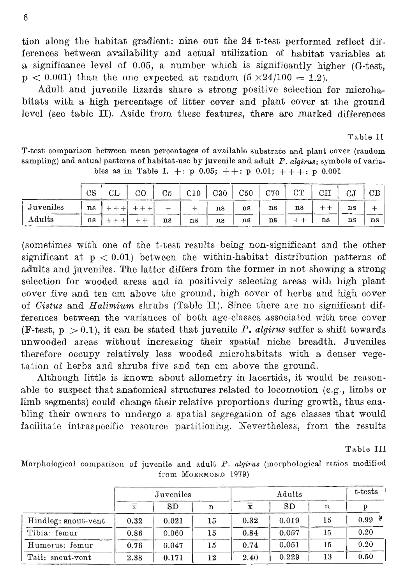tion along the habitat gradient: nine out the 24 t-test performed reflect differences between availability and actual utilization of habitat variables at a significance level of 0.05, a number which is significantly higher (G-test.  $p < 0.001$ ) than the one expected at random  $(5 \times 24/100 = 1.2)$ .

Adult and juvenile lizards share a strong positive selection for microhabitats with a high percentage of litter cover and plant cover at the ground level (see table II). Aside from these features, there are marked differences ferences between the variances of both age-classes associated with the variances

(F-test, p > 0.1), it can be stated that juvenile *P. algiru8* suffer a shift towards

T-test comparison between mean percentages of available substrate and plant cover (random sampling) and actual patterns of habitat-use by juvenile and adult  $P$ . algirus; symbols of variables as in Table I. +: p 0.05; ++: p 0.01; +++: p 0.001

|           | __        |              |    |    |     |     |     |     |    |             |                                                | ____                 |
|-----------|-----------|--------------|----|----|-----|-----|-----|-----|----|-------------|------------------------------------------------|----------------------|
|           | $\rm{CS}$ | <b>CL</b>    | CO | C5 | C10 | C30 | C50 | C70 | CT | $_{\rm CH}$ | СJ                                             | $\rm CB$             |
| Juveniles | ns        | $-1$         |    |    |     | ns  | ns  | ns  | ns |             | ns<br><b>The Company's Company's Company's</b> | ᅩ                    |
| Adults    | ns        | $-1$<br>$-1$ |    | ns | ns  | ns  | ns  | ns  | -  | $-$<br>ns   | ns                                             | _____<br>$^{\rm ns}$ |
|           |           |              |    |    |     |     |     |     |    |             |                                                |                      |

(sometimes with one of the t-test results being non-significant and the other significant at  $p < 0.01$ ) between the within-habitat distribution patterns of adults and juveniles. The latter differs from the former in not showing a strong selection for wooded areas and in positively selecting areas with high plant there are no significant difference are no significant differences ferences between the variances of both age-classes associated with tree cover (F-test,  $p > 0.1$ ), it can be stated that juvenile P. algirus suffer a shift towards unwooded areas without increasing their spatial niche breadth. Juveniles therefore occupy relatively less wooded microhabitats with a denser vegetation of herbs and shrubs five and ten cm above the ground.<br>Although little is known about allometry in lacertids, it would be reason-

able to suspect that anatomical structures related to locomotion (e.g., limbs or limb segments) could change their relative proportions during growth, thus enabling their owners to undergo a spatial segregation of age classes that would facilitate intraspecific resource partitioning. Nevertheless, from the results

Table III

Morphological comparison of juvenile and adult P. algirus (morphological ratios modified from MOERMOND 1979)

|                     |      | $J$ uveniles |    |      | t-tests   |    |            |
|---------------------|------|--------------|----|------|-----------|----|------------|
|                     |      | SD           | n  |      | <b>SD</b> | n  |            |
| Hindleg: snout-vent | 0.32 | 0.021        | 15 | 0.32 | 0.019     | 15 | $0.99$ $*$ |
| Tibia: femur        | 0.86 | 0.060        | 15 | 0.84 | 0.057     | 15 | 0.20       |
| Humerus: femur      | 0.76 | 0.047        | 15 | 0.74 | 0.051     | 15 | 0.20       |
| Tail: snout-vent    | 2.38 | 0.171        | 12 | 2.40 | 0.229     | 13 | 0.50       |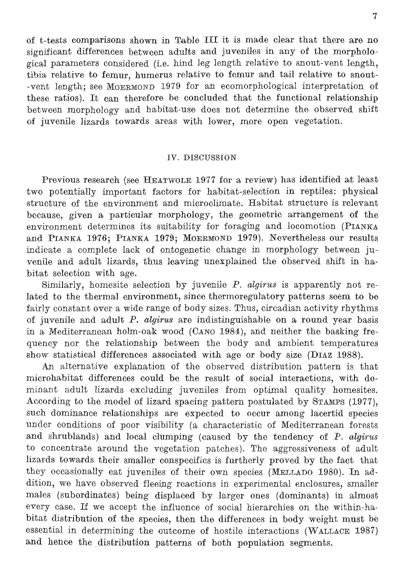structure of the environment and microclimate. Habitat structure is relevant and microclimate. Habitat structure is relevant and microclimate. Habitat structure is relevant and microclimate. Habitat structure is relevant of t-tests comparisons shown in Table III it is made clear that there are no significant differences between adults and juveniles in any of the morphological parameters considered (i.e. hind leg length relative to snout-vent length, tibia relative to femur, humerus relative to femur and tail relative to snoutvent length; see MOERMOND 1979 for an ecomorphological interpretation of these ratios). It can therefore be concluded that the functional relationship between morphology and habitat-use does not determine the observed shift of juvenile lizards towards areas with lower, more open vegetation.

#### IV. DISCUSSION

 $\rm\,H\,EATWOLE$   $\rm\,1977$  for a review) has identified at least two potentially important factors for habitat-selection in reptiles: physical structure of the environment and microclimate. Habitat structure is relevant because, given a particular morphology, the geometric arrangement of the environment determines its suitability for foraging and locomotion (PIANKA and PIANKA 1976; PIANKA 1979; MOERMOND 1979). Nevertheless our results indicate a complete lack of ontogenetic change in morphology between juvenile and adult lizards, thus leaving unexplained the observed shift in habitat selection with age. to concentrate around the vegetation patches  $\alpha$  and  $\alpha$  aggressive  $\alpha$  and  $\alpha$  aggressive  $\alpha$ 

ection by juvenile  $P$ . algirus is apparently not related to the thermal environment, since thermoregulatory patterns seem to be fairly constant over a wide range of body sizes. Thus, circadian activity rhythms of juvenile and adult  $P$ , algirus are indistinguishable on a round year basis in a Mediterranean holm-oak wood (CANO 1984), and neither the basking frequency nor the relationship between the body and ambient temperatures show statistical differences associated with age or body size (DIAZ 1988).

An alternative explanation of the observed distribution pattern is that microhabitat differences could be the result of social interactions, with dominant adult lizards excluding juveniles from optimal quality homesites. According to the model of lizard spacing pattern postulated by STAMPS (1977), such dominance relationships are expected to occur among lacertid species under conditions of poor visibility (a characteristic of Mediterranean forests and shrublands) and local clumping (caused by the tendency of P. algirus to concentrate around the vegetation patches). The aggressiveness of adult lizards towards their smaller conspecifics is furtherly proved by the fact that they occasionally eat juveniles of their own species (MELLADO 1980). In addition, we have observed fleeing reactions in experimental enclosures, smaller males (subordinates) being displaced by larger ones (dominants) in almost every case. If we accept the influence of social hierarchies on the within-habitat distribution of the species, then the differences in body weight must be essential in determining the outcome of hostile interactions (WALLACE 1987) and hence the distribution patterns of both population segments.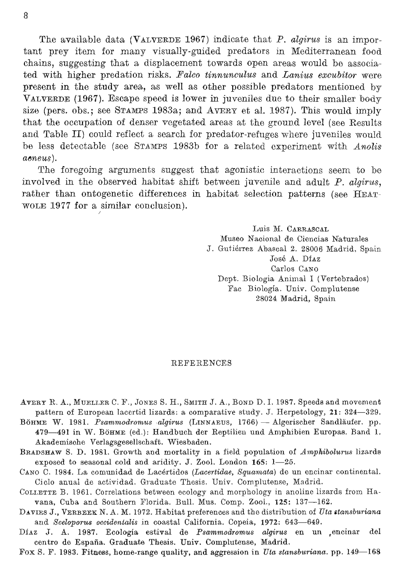The available data (VALVERDE 1967) indicate that  $P$ . algirus is an impor- $\frac{\text{out}}{\text{out}}$ chains, suggesting that a displacement towards open areas would be associated with higher predation risks. Falco tinnunculus and Lanius excubitor were present in the study area, as well as other possible predators mentioned by VALVERDE (1967). Escape speed is lower in juveniles due to their smaller body Fao Biologia. Univ. Complutense that the occupation of denser vegetated areas at the ground level (see Results and Table II) could reflect a search for predator-refuges where juveniles would be less detectable (see STAMPS 1983b for a related experiment with Anolis aeneus).

The foregoing arguments suggest that agonistic interactions seem to be involved in the observed habitat shift between juvenile and adult  $P$ . algirus, rather than ontogenetic differences in habitat selection patterns (see HEAT-WOLE 1977 for a similar conclusion).

> Luis M. CARRASCAL Museo Nacional de Ciencias Naturales J. Gutiérrez Abascal 2. 28006 Madrid, Spain José A. Díaz Garlos Cano Dept. Biologia Animal I (Vertebrados). Fac Biología. Univ. Complutense 28024 Madrid. Spain

#### REFERENCES. Fox S. F. 1983. Fitness, home-range quality, and aggression in *Uta stansburiana.* pp. 149-168

- AVERY R. A., MUELLER C. F., JONES S. H., SMITH J. A., BOND D. I. 1987. Speeds and movement pattern of European lacertid lizards: a comparative study. J. Herpetology, 21: 324-329.
- BÖHME W. 1981. Psammodromus algirus (LINNAEUS, 1766) Algerischer Sandläufer. pp. 479-491 in W. BöHME (ed.): Handbuch der Reptilien und Amphibien Europas. Band 1. Akademische Verlagsgesellschaft. Wiesbaden.
- BRADSHAW S. D. 1981. Growth and mortality in a field population of Amphibolurus lizards exposed to seasonal cold and aridity. J. Zool. London 165: 1-25.
- CANO C. 1984. La comunidad de Lacértidos (Lacertidae, Squamata) de un encinar continental. Ciclo anual de actividad. Graduate Thesis. Univ. Complutense, Madrid.
- COLLETTE B. 1961. Correlations between ecology and morphology in anoline lizards from Havana, Cuba and Southern Florida. Bull. Mus. Comp. Zool., 125: 137-162.
- DAVIES J., VERBEEK N. A. M. 1972. Habitat preferences and the distribution of Uta stansburiana and Sceloporus occidentalis in coastal California. Copeia, 1972: 643-649.
- Díaz J. A. 1987. Ecología estival de Psammodromus algirus en un encinar del centro de España. Graduate Thesis. Univ. Complutense, Madrid.
- Fox S. F. 1983. Fitness, home-range quality, and aggression in Uta stansburiana. pp. 149-168